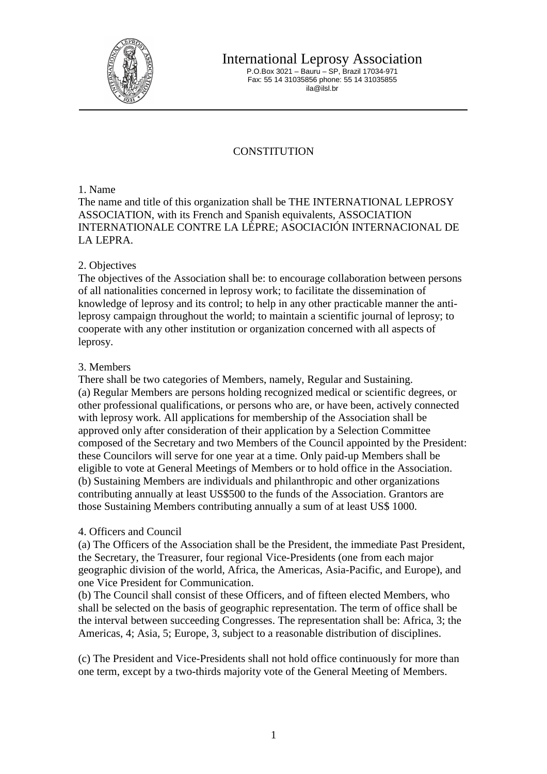

International Leprosy Association

P.O.Box 3021 – Bauru – SP, Brazil 17034-971 Fax: 55 14 31035856 phone: 55 14 31035855 ila@ilsl.br

# **CONSTITUTION**

1. Name

The name and title of this organization shall be THE INTERNATIONAL LEPROSY ASSOCIATION, with its French and Spanish equivalents, ASSOCIATION INTERNATIONALE CONTRE LA LÈPRE; ASOCIACIÓN INTERNACIONAL DE LA LEPRA.

## 2. Objectives

The objectives of the Association shall be: to encourage collaboration between persons of all nationalities concerned in leprosy work; to facilitate the dissemination of knowledge of leprosy and its control; to help in any other practicable manner the antileprosy campaign throughout the world; to maintain a scientific journal of leprosy; to cooperate with any other institution or organization concerned with all aspects of leprosy.

#### 3. Members

There shall be two categories of Members, namely, Regular and Sustaining. (a) Regular Members are persons holding recognized medical or scientific degrees, or other professional qualifications, or persons who are, or have been, actively connected with leprosy work. All applications for membership of the Association shall be approved only after consideration of their application by a Selection Committee composed of the Secretary and two Members of the Council appointed by the President: these Councilors will serve for one year at a time. Only paid-up Members shall be eligible to vote at General Meetings of Members or to hold office in the Association. (b) Sustaining Members are individuals and philanthropic and other organizations contributing annually at least US\$500 to the funds of the Association. Grantors are those Sustaining Members contributing annually a sum of at least US\$ 1000.

## 4. Officers and Council

(a) The Officers of the Association shall be the President, the immediate Past President, the Secretary, the Treasurer, four regional Vice-Presidents (one from each major geographic division of the world, Africa, the Americas, Asia-Pacific, and Europe), and one Vice President for Communication.

(b) The Council shall consist of these Officers, and of fifteen elected Members, who shall be selected on the basis of geographic representation. The term of office shall be the interval between succeeding Congresses. The representation shall be: Africa, 3; the Americas, 4; Asia, 5; Europe, 3, subject to a reasonable distribution of disciplines.

(c) The President and Vice-Presidents shall not hold office continuously for more than one term, except by a two-thirds majority vote of the General Meeting of Members.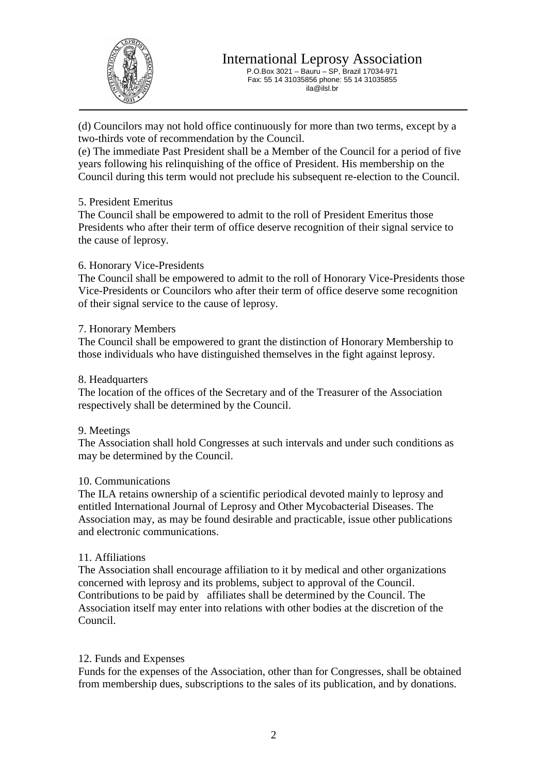

P.O.Box 3021 – Bauru – SP, Brazil 17034-971 Fax: 55 14 31035856 phone: 55 14 31035855 ila@ilsl.br

(d) Councilors may not hold office continuously for more than two terms, except by a two-thirds vote of recommendation by the Council.

(e) The immediate Past President shall be a Member of the Council for a period of five years following his relinquishing of the office of President. His membership on the Council during this term would not preclude his subsequent re-election to the Council.

## 5. President Emeritus

The Council shall be empowered to admit to the roll of President Emeritus those Presidents who after their term of office deserve recognition of their signal service to the cause of leprosy.

#### 6. Honorary Vice-Presidents

The Council shall be empowered to admit to the roll of Honorary Vice-Presidents those Vice-Presidents or Councilors who after their term of office deserve some recognition of their signal service to the cause of leprosy.

#### 7. Honorary Members

The Council shall be empowered to grant the distinction of Honorary Membership to those individuals who have distinguished themselves in the fight against leprosy.

#### 8. Headquarters

The location of the offices of the Secretary and of the Treasurer of the Association respectively shall be determined by the Council.

#### 9. Meetings

The Association shall hold Congresses at such intervals and under such conditions as may be determined by the Council.

#### 10. Communications

The ILA retains ownership of a scientific periodical devoted mainly to leprosy and entitled International Journal of Leprosy and Other Mycobacterial Diseases. The Association may, as may be found desirable and practicable, issue other publications and electronic communications.

## 11. Affiliations

The Association shall encourage affiliation to it by medical and other organizations concerned with leprosy and its problems, subject to approval of the Council. Contributions to be paid by affiliates shall be determined by the Council. The Association itself may enter into relations with other bodies at the discretion of the Council.

## 12. Funds and Expenses

Funds for the expenses of the Association, other than for Congresses, shall be obtained from membership dues, subscriptions to the sales of its publication, and by donations.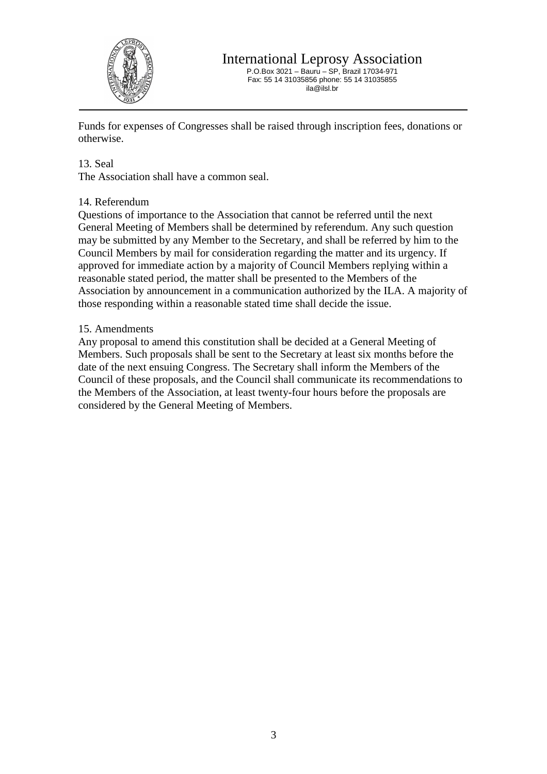

P.O.Box 3021 – Bauru – SP, Brazil 17034-971 Fax: 55 14 31035856 phone: 55 14 31035855 ila@ilsl.br

Funds for expenses of Congresses shall be raised through inscription fees, donations or otherwise.

#### 13. Seal

The Association shall have a common seal.

#### 14. Referendum

Questions of importance to the Association that cannot be referred until the next General Meeting of Members shall be determined by referendum. Any such question may be submitted by any Member to the Secretary, and shall be referred by him to the Council Members by mail for consideration regarding the matter and its urgency. If approved for immediate action by a majority of Council Members replying within a reasonable stated period, the matter shall be presented to the Members of the Association by announcement in a communication authorized by the ILA. A majority of those responding within a reasonable stated time shall decide the issue.

#### 15. Amendments

Any proposal to amend this constitution shall be decided at a General Meeting of Members. Such proposals shall be sent to the Secretary at least six months before the date of the next ensuing Congress. The Secretary shall inform the Members of the Council of these proposals, and the Council shall communicate its recommendations to the Members of the Association, at least twenty-four hours before the proposals are considered by the General Meeting of Members.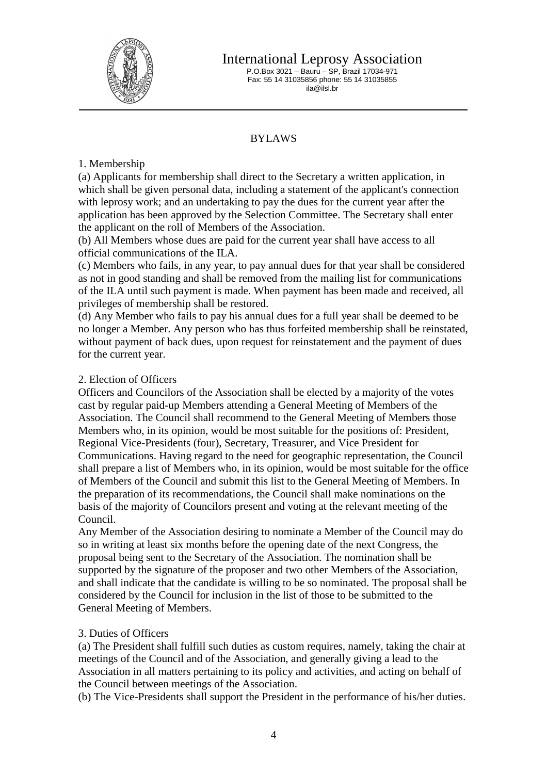

International Leprosy Association

P.O.Box 3021 – Bauru – SP, Brazil 17034-971 Fax: 55 14 31035856 phone: 55 14 31035855 ila@ilsl.br

# BYLAWS

## 1. Membership

(a) Applicants for membership shall direct to the Secretary a written application, in which shall be given personal data, including a statement of the applicant's connection with leprosy work; and an undertaking to pay the dues for the current year after the application has been approved by the Selection Committee. The Secretary shall enter the applicant on the roll of Members of the Association.

(b) All Members whose dues are paid for the current year shall have access to all official communications of the ILA.

(c) Members who fails, in any year, to pay annual dues for that year shall be considered as not in good standing and shall be removed from the mailing list for communications of the ILA until such payment is made. When payment has been made and received, all privileges of membership shall be restored.

(d) Any Member who fails to pay his annual dues for a full year shall be deemed to be no longer a Member. Any person who has thus forfeited membership shall be reinstated, without payment of back dues, upon request for reinstatement and the payment of dues for the current year.

## 2. Election of Officers

Officers and Councilors of the Association shall be elected by a majority of the votes cast by regular paid-up Members attending a General Meeting of Members of the Association. The Council shall recommend to the General Meeting of Members those Members who, in its opinion, would be most suitable for the positions of: President, Regional Vice-Presidents (four), Secretary, Treasurer, and Vice President for Communications. Having regard to the need for geographic representation, the Council shall prepare a list of Members who, in its opinion, would be most suitable for the office of Members of the Council and submit this list to the General Meeting of Members. In the preparation of its recommendations, the Council shall make nominations on the basis of the majority of Councilors present and voting at the relevant meeting of the Council.

Any Member of the Association desiring to nominate a Member of the Council may do so in writing at least six months before the opening date of the next Congress, the proposal being sent to the Secretary of the Association. The nomination shall be supported by the signature of the proposer and two other Members of the Association, and shall indicate that the candidate is willing to be so nominated. The proposal shall be considered by the Council for inclusion in the list of those to be submitted to the General Meeting of Members.

## 3. Duties of Officers

(a) The President shall fulfill such duties as custom requires, namely, taking the chair at meetings of the Council and of the Association, and generally giving a lead to the Association in all matters pertaining to its policy and activities, and acting on behalf of the Council between meetings of the Association.

(b) The Vice-Presidents shall support the President in the performance of his/her duties.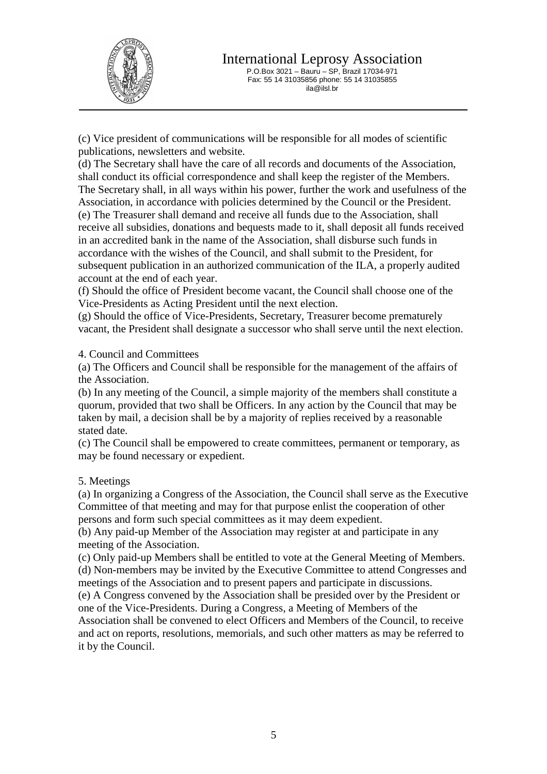

(c) Vice president of communications will be responsible for all modes of scientific publications, newsletters and website.

(d) The Secretary shall have the care of all records and documents of the Association, shall conduct its official correspondence and shall keep the register of the Members. The Secretary shall, in all ways within his power, further the work and usefulness of the Association, in accordance with policies determined by the Council or the President. (e) The Treasurer shall demand and receive all funds due to the Association, shall receive all subsidies, donations and bequests made to it, shall deposit all funds received in an accredited bank in the name of the Association, shall disburse such funds in accordance with the wishes of the Council, and shall submit to the President, for subsequent publication in an authorized communication of the ILA, a properly audited account at the end of each year.

(f) Should the office of President become vacant, the Council shall choose one of the Vice-Presidents as Acting President until the next election.

(g) Should the office of Vice-Presidents, Secretary, Treasurer become prematurely vacant, the President shall designate a successor who shall serve until the next election.

4. Council and Committees

(a) The Officers and Council shall be responsible for the management of the affairs of the Association.

(b) In any meeting of the Council, a simple majority of the members shall constitute a quorum, provided that two shall be Officers. In any action by the Council that may be taken by mail, a decision shall be by a majority of replies received by a reasonable stated date.

(c) The Council shall be empowered to create committees, permanent or temporary, as may be found necessary or expedient.

## 5. Meetings

(a) In organizing a Congress of the Association, the Council shall serve as the Executive Committee of that meeting and may for that purpose enlist the cooperation of other persons and form such special committees as it may deem expedient.

(b) Any paid-up Member of the Association may register at and participate in any meeting of the Association.

(c) Only paid-up Members shall be entitled to vote at the General Meeting of Members. (d) Non-members may be invited by the Executive Committee to attend Congresses and meetings of the Association and to present papers and participate in discussions.

(e) A Congress convened by the Association shall be presided over by the President or one of the Vice-Presidents. During a Congress, a Meeting of Members of the

Association shall be convened to elect Officers and Members of the Council, to receive and act on reports, resolutions, memorials, and such other matters as may be referred to it by the Council.